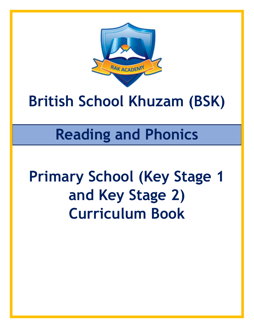

# **British School Khuzam (BSK)**

# **Reading and Phonics**

# **Primary School (Key Stage 1 and Key Stage 2) Curriculum Book**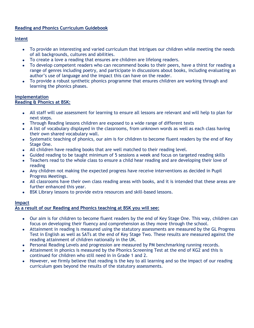### **Reading and Phonics Curriculum Guidebook**

### **Intent**

- To provide an interesting and varied curriculum that intrigues our children while meeting the needs of all backgrounds, cultures and abilities.
- To create a love a reading that ensures are children are lifelong readers.
- To develop competent readers who can recommend books to their peers, have a thirst for reading a range of genres including poetry, and participate in discussions about books, including evaluating an author's use of language and the impact this can have on the reader.
- To provide a robust synthetic phonics programme that ensures children are working through and learning the phonics phases.

#### **Implementation Reading & Phonics at BSK:**

- All staff will use assessment for learning to ensure all lessons are relevant and will help to plan for next steps.
- Through Reading lessons children are exposed to a wide range of different texts
- A list of vocabulary displayed in the classrooms, from unknown words as well as each class having their own shared vocabulary wall.
- Systematic teaching of phonics, our aim is for children to become fluent readers by the end of Key Stage One.
- All children have reading books that are well matched to their reading level.
- Guided reading to be taught minimum of 5 sessions a week and focus on targeted reading skills
- Teachers read to the whole class to ensure a child hear reading and are developing their love of reading
- Any children not making the expected progress have receive interventions as decided in Pupil Progress Meetings.
- All classrooms have their own class reading areas with books, and it is intended that these areas are further enhanced this year.
- BSK Library lessons to provide extra resources and skill-based lessons.

#### **Impact**

#### **As a result of our Reading and Phonics teaching at BSK you will see:**

- Our aim is for children to become fluent readers by the end of Key Stage One. This way, children can focus on developing their fluency and comprehension as they move through the school.
- Attainment in reading is measured using the statutory assessments are measured by the GL Progress Test in English as well as SATs at the end of Key Stage Two. These results are measured against the reading attainment of children nationally in the UK.
- Personal Reading Levels and progression are measured by PM benchmarking running records.
- Attainment in phonics is measured by the Phonics Screening Test at the end of KG2 and this is continued for children who still need in in Grade 1 and 2.
- However, we firmly believe that reading is the key to all learning and so the impact of our reading curriculum goes beyond the results of the statutory assessments.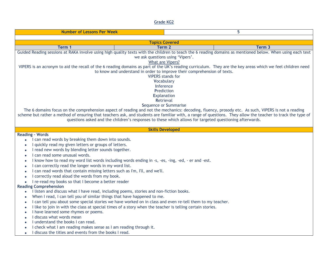Grade KG2

| 5<br><b>Number of Lessons Per Week</b>                                                              |                                                                                                           |                                                                                                                                                             |  |  |  |
|-----------------------------------------------------------------------------------------------------|-----------------------------------------------------------------------------------------------------------|-------------------------------------------------------------------------------------------------------------------------------------------------------------|--|--|--|
|                                                                                                     |                                                                                                           |                                                                                                                                                             |  |  |  |
|                                                                                                     | <b>Topics Covered</b>                                                                                     |                                                                                                                                                             |  |  |  |
| Term 1                                                                                              | Term 2                                                                                                    | Term 3                                                                                                                                                      |  |  |  |
|                                                                                                     |                                                                                                           | Guided Reading sessions at RAKA involve using high quality texts with the children to teach the 6 reading domains as mentioned below. When using each text  |  |  |  |
|                                                                                                     | we ask questions using 'Vipers'.                                                                          |                                                                                                                                                             |  |  |  |
|                                                                                                     | What are Vipers?                                                                                          |                                                                                                                                                             |  |  |  |
|                                                                                                     |                                                                                                           | VIPERS is an acronym to aid the recall of the 6 reading domains as part of the UK's reading curriculum. They are the key areas which we feel children need  |  |  |  |
|                                                                                                     | to know and understand in order to improve their comprehension of texts.<br><b>VIPERS</b> stands for      |                                                                                                                                                             |  |  |  |
|                                                                                                     | <b>Vocabulary</b>                                                                                         |                                                                                                                                                             |  |  |  |
|                                                                                                     | Inference                                                                                                 |                                                                                                                                                             |  |  |  |
|                                                                                                     | Prediction                                                                                                |                                                                                                                                                             |  |  |  |
|                                                                                                     | Explanation                                                                                               |                                                                                                                                                             |  |  |  |
|                                                                                                     | <b>Retrieval</b>                                                                                          |                                                                                                                                                             |  |  |  |
|                                                                                                     | Sequence or Summarise                                                                                     |                                                                                                                                                             |  |  |  |
|                                                                                                     |                                                                                                           | The 6 domains focus on the comprehension aspect of reading and not the mechanics: decoding, fluency, prosody etc. As such, VIPERS is not a reading          |  |  |  |
|                                                                                                     |                                                                                                           | scheme but rather a method of ensuring that teachers ask, and students are familiar with, a range of questions. They allow the teacher to track the type of |  |  |  |
|                                                                                                     | questions asked and the children's responses to these which allows for targeted questioning afterwards.   |                                                                                                                                                             |  |  |  |
|                                                                                                     |                                                                                                           |                                                                                                                                                             |  |  |  |
|                                                                                                     | <b>Skills Developed</b>                                                                                   |                                                                                                                                                             |  |  |  |
| <b>Reading - Words</b><br>I can read words by breaking them down into sounds.<br>$\bullet$          |                                                                                                           |                                                                                                                                                             |  |  |  |
| I quickly read my given letters or groups of letters.                                               |                                                                                                           |                                                                                                                                                             |  |  |  |
| I read new words by blending letter sounds together.                                                |                                                                                                           |                                                                                                                                                             |  |  |  |
| I can read some unusual words.                                                                      |                                                                                                           |                                                                                                                                                             |  |  |  |
|                                                                                                     | I know how to read my word list words including words ending in -s, -es, -ing, -ed, - er and -est.        |                                                                                                                                                             |  |  |  |
| $\bullet$<br>I can correctly read the longer words in my word list.                                 |                                                                                                           |                                                                                                                                                             |  |  |  |
| I can read words that contain missing letters such as I'm, I'll, and we'll.                         |                                                                                                           |                                                                                                                                                             |  |  |  |
| I correctly read aloud the words from my book.                                                      |                                                                                                           |                                                                                                                                                             |  |  |  |
| I re-read my books so that I become a better reader                                                 |                                                                                                           |                                                                                                                                                             |  |  |  |
| <b>Reading Comprehension</b>                                                                        |                                                                                                           |                                                                                                                                                             |  |  |  |
| I listen and discuss what I have read, including poems, stories and non-fiction books.<br>$\bullet$ |                                                                                                           |                                                                                                                                                             |  |  |  |
| When I read, I can tell you of similar things that have happened to me.                             |                                                                                                           |                                                                                                                                                             |  |  |  |
|                                                                                                     | I can tell you about some special stories we have worked on in class and even re-tell them to my teacher. |                                                                                                                                                             |  |  |  |
|                                                                                                     | I like to join in with the class at special times of a story when the teacher is telling certain stories. |                                                                                                                                                             |  |  |  |
| I have learned some rhymes or poems.                                                                |                                                                                                           |                                                                                                                                                             |  |  |  |
| I discuss what words mean                                                                           |                                                                                                           |                                                                                                                                                             |  |  |  |
| I understand the books I can read.                                                                  |                                                                                                           |                                                                                                                                                             |  |  |  |
| I check what I am reading makes sense as I am reading through it.                                   |                                                                                                           |                                                                                                                                                             |  |  |  |
|                                                                                                     | I discuss the titles and events from the books I read.                                                    |                                                                                                                                                             |  |  |  |
|                                                                                                     |                                                                                                           |                                                                                                                                                             |  |  |  |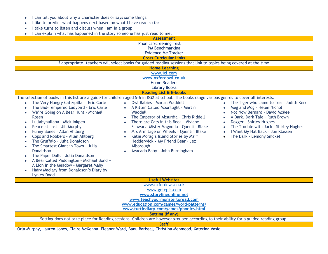| I can tell you about why a character does or says some things.<br>$\bullet$<br>I like to predict what happens next based on what I have read so far.<br>$\bullet$<br>I take turns to listen and discuss when I am in a group.                                                                                                                                                                                                                                                                                                                                                                                                                                                                        |                                                                                                                                                                                                                                                                                                                                                                                                                                                                         |                                                                                                                                                                                                                                                                                                                                                                           |  |  |
|------------------------------------------------------------------------------------------------------------------------------------------------------------------------------------------------------------------------------------------------------------------------------------------------------------------------------------------------------------------------------------------------------------------------------------------------------------------------------------------------------------------------------------------------------------------------------------------------------------------------------------------------------------------------------------------------------|-------------------------------------------------------------------------------------------------------------------------------------------------------------------------------------------------------------------------------------------------------------------------------------------------------------------------------------------------------------------------------------------------------------------------------------------------------------------------|---------------------------------------------------------------------------------------------------------------------------------------------------------------------------------------------------------------------------------------------------------------------------------------------------------------------------------------------------------------------------|--|--|
| I can explain what has happened in the story someone has just read to me.                                                                                                                                                                                                                                                                                                                                                                                                                                                                                                                                                                                                                            |                                                                                                                                                                                                                                                                                                                                                                                                                                                                         |                                                                                                                                                                                                                                                                                                                                                                           |  |  |
|                                                                                                                                                                                                                                                                                                                                                                                                                                                                                                                                                                                                                                                                                                      | <b>Assessment</b>                                                                                                                                                                                                                                                                                                                                                                                                                                                       |                                                                                                                                                                                                                                                                                                                                                                           |  |  |
|                                                                                                                                                                                                                                                                                                                                                                                                                                                                                                                                                                                                                                                                                                      | <b>Phonics Screening Test</b><br><b>PM Benchmarking</b><br><b>Evidence Me Tracker</b>                                                                                                                                                                                                                                                                                                                                                                                   |                                                                                                                                                                                                                                                                                                                                                                           |  |  |
|                                                                                                                                                                                                                                                                                                                                                                                                                                                                                                                                                                                                                                                                                                      | <b>Cross Curricular Links</b>                                                                                                                                                                                                                                                                                                                                                                                                                                           |                                                                                                                                                                                                                                                                                                                                                                           |  |  |
|                                                                                                                                                                                                                                                                                                                                                                                                                                                                                                                                                                                                                                                                                                      | If appropriate, teachers will select books for guided reading sessions that link to topics being covered at the time.                                                                                                                                                                                                                                                                                                                                                   |                                                                                                                                                                                                                                                                                                                                                                           |  |  |
|                                                                                                                                                                                                                                                                                                                                                                                                                                                                                                                                                                                                                                                                                                      | <b>Home Learning</b>                                                                                                                                                                                                                                                                                                                                                                                                                                                    |                                                                                                                                                                                                                                                                                                                                                                           |  |  |
|                                                                                                                                                                                                                                                                                                                                                                                                                                                                                                                                                                                                                                                                                                      | www.ixl.com<br>www.oxfordowl.co.uk<br><b>Home Readers</b><br><b>Library Books</b>                                                                                                                                                                                                                                                                                                                                                                                       |                                                                                                                                                                                                                                                                                                                                                                           |  |  |
|                                                                                                                                                                                                                                                                                                                                                                                                                                                                                                                                                                                                                                                                                                      | <b>Reading List &amp; E-books</b>                                                                                                                                                                                                                                                                                                                                                                                                                                       |                                                                                                                                                                                                                                                                                                                                                                           |  |  |
|                                                                                                                                                                                                                                                                                                                                                                                                                                                                                                                                                                                                                                                                                                      | The selection of books in this list are a guide for children aged 5-6 in KG2 at school. The books range various genres to cover all interests.                                                                                                                                                                                                                                                                                                                          |                                                                                                                                                                                                                                                                                                                                                                           |  |  |
| The Very Hungry Caterpillar - Eric Carle<br>$\bullet$<br>The Bad-Tempered Ladybird - Eric Carle<br>$\bullet$<br>We're Going on A Bear Hunt - Michael<br>$\bullet$<br>Rosen<br>Lullabyhullaba - Mick Inkpen<br>$\bullet$<br>Peace at Last - Jill Murphy<br>$\bullet$<br>Funny Bones - Allan Ahlberg<br>$\bullet$<br>Cops and Robbers - Allan Ahlberg<br>$\bullet$<br>The Gruffalo - Julia Donaldson<br>The Smartest Giant in Town - Julia<br>$\bullet$<br>Donaldson<br>The Paper Dolls - Julia Donaldson<br>$\bullet$<br>A Bear Called Paddington - Michael Bond .<br>$\bullet$<br>A Lion in the Meadow - Margaret Mahy<br>Hairy Maclary from Donaldson's Diary by<br>$\bullet$<br><b>Lynley Dodd</b> | <b>Owl Babies - Martin Waddell</b><br>$\bullet$<br>A Kitten Called Moonlught - Martin<br>$\bullet$<br>Waddell<br>The Emperor of Absurdia - Chris Riddell<br>There are Cats in this Book - Viviane<br>$\bullet$<br>Schwarz Mister Magnolia - Quentin Blake<br>Mrs Armitage on Wheels - Quentin Blake<br>$\bullet$<br>Katie Morag's Island Stories by Mairi<br>$\bullet$<br>Hedderwick • My Friend Bear - Jez<br>Alborough<br>Avacado Baby - John Burningham<br>$\bullet$ | The Tiger who came to Tea - Judith Kerr<br>$\bullet$<br>Meg and Mog - Helen Nichol<br>$\bullet$<br>Not Now Bernard - David McKee<br>A Dark, Dark Tale - Ruth Brown<br>$\bullet$<br>Dogger - Shirley Hughes<br>$\bullet$<br>The Trouble with Jack - Shirley Hughes<br>$\bullet$<br>I Want My Hat Back - Jon Klassen<br>$\bullet$<br>The Dark - Lemony Snicket<br>$\bullet$ |  |  |
|                                                                                                                                                                                                                                                                                                                                                                                                                                                                                                                                                                                                                                                                                                      | <b>Useful Websites</b>                                                                                                                                                                                                                                                                                                                                                                                                                                                  |                                                                                                                                                                                                                                                                                                                                                                           |  |  |
|                                                                                                                                                                                                                                                                                                                                                                                                                                                                                                                                                                                                                                                                                                      | www.oxfordowl.co.uk<br>www.getepic.com<br>www.storylineonline.net<br>www.teachyourmonstertoread.com<br>www.education.com/games/word-patterns/<br>www.turtlediary.com/games/phonics.html                                                                                                                                                                                                                                                                                 |                                                                                                                                                                                                                                                                                                                                                                           |  |  |
| Setting (if any)                                                                                                                                                                                                                                                                                                                                                                                                                                                                                                                                                                                                                                                                                     |                                                                                                                                                                                                                                                                                                                                                                                                                                                                         |                                                                                                                                                                                                                                                                                                                                                                           |  |  |
| Setting does not take place for Reading sessions. Children are however grouped according to their ability for a guided reading group.                                                                                                                                                                                                                                                                                                                                                                                                                                                                                                                                                                |                                                                                                                                                                                                                                                                                                                                                                                                                                                                         |                                                                                                                                                                                                                                                                                                                                                                           |  |  |
| <b>Staff</b>                                                                                                                                                                                                                                                                                                                                                                                                                                                                                                                                                                                                                                                                                         |                                                                                                                                                                                                                                                                                                                                                                                                                                                                         |                                                                                                                                                                                                                                                                                                                                                                           |  |  |
|                                                                                                                                                                                                                                                                                                                                                                                                                                                                                                                                                                                                                                                                                                      | Orla Murphy, Lauren Jones, Claire McKenna, Eleanor Ward, Banu Barissal, Christina Mehmood, Katerina Vasic                                                                                                                                                                                                                                                                                                                                                               |                                                                                                                                                                                                                                                                                                                                                                           |  |  |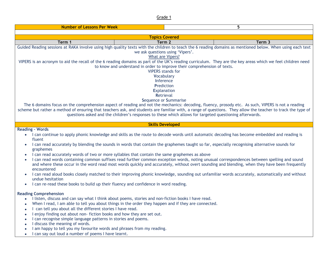| 5<br><b>Number of Lessons Per Week</b>                                                                                                                                                                                                                                                                                                                                                                                                                                                                                                                                                                                                                                                                                                                     |                                                                                                                                                                                                                                                                                                                                                                                                                                                                                                                                                                                                                                                                                                                                                                                                                                                    |        |  |  |
|------------------------------------------------------------------------------------------------------------------------------------------------------------------------------------------------------------------------------------------------------------------------------------------------------------------------------------------------------------------------------------------------------------------------------------------------------------------------------------------------------------------------------------------------------------------------------------------------------------------------------------------------------------------------------------------------------------------------------------------------------------|----------------------------------------------------------------------------------------------------------------------------------------------------------------------------------------------------------------------------------------------------------------------------------------------------------------------------------------------------------------------------------------------------------------------------------------------------------------------------------------------------------------------------------------------------------------------------------------------------------------------------------------------------------------------------------------------------------------------------------------------------------------------------------------------------------------------------------------------------|--------|--|--|
|                                                                                                                                                                                                                                                                                                                                                                                                                                                                                                                                                                                                                                                                                                                                                            |                                                                                                                                                                                                                                                                                                                                                                                                                                                                                                                                                                                                                                                                                                                                                                                                                                                    |        |  |  |
| <b>Topics Covered</b>                                                                                                                                                                                                                                                                                                                                                                                                                                                                                                                                                                                                                                                                                                                                      |                                                                                                                                                                                                                                                                                                                                                                                                                                                                                                                                                                                                                                                                                                                                                                                                                                                    |        |  |  |
| Term 1                                                                                                                                                                                                                                                                                                                                                                                                                                                                                                                                                                                                                                                                                                                                                     | Term 2                                                                                                                                                                                                                                                                                                                                                                                                                                                                                                                                                                                                                                                                                                                                                                                                                                             | Term 3 |  |  |
| Guided Reading sessions at RAKA involve using high quality texts with the children to teach the 6 reading domains as mentioned below. When using each text<br>we ask questions using 'Vipers'.<br>What are Vipers?<br>VIPERS is an acronym to aid the recall of the 6 reading domains as part of the UK's reading curriculum. They are the key areas which we feel children need<br>to know and understand in order to improve their comprehension of texts.<br><b>VIPERS</b> stands for<br><b>Vocabulary</b><br>Inference<br>Prediction<br><b>Explanation</b><br>Retrieval<br>Sequence or Summarise<br>The 6 domains focus on the comprehension aspect of reading and not the mechanics: decoding, fluency, prosody etc. As such, VIPERS is not a reading |                                                                                                                                                                                                                                                                                                                                                                                                                                                                                                                                                                                                                                                                                                                                                                                                                                                    |        |  |  |
|                                                                                                                                                                                                                                                                                                                                                                                                                                                                                                                                                                                                                                                                                                                                                            | scheme but rather a method of ensuring that teachers ask, and students are familiar with, a range of questions. They allow the teacher to track the type of<br>questions asked and the children's responses to these which allows for targeted questioning afterwards.                                                                                                                                                                                                                                                                                                                                                                                                                                                                                                                                                                             |        |  |  |
|                                                                                                                                                                                                                                                                                                                                                                                                                                                                                                                                                                                                                                                                                                                                                            | <b>Skills Developed</b>                                                                                                                                                                                                                                                                                                                                                                                                                                                                                                                                                                                                                                                                                                                                                                                                                            |        |  |  |
| <b>Reading - Words</b><br>fluent<br>$\bullet$<br>graphemes<br>$\bullet$<br>encountered<br>undue hesitation<br>I can re-read these books to build up their fluency and confidence in word reading.<br>$\bullet$                                                                                                                                                                                                                                                                                                                                                                                                                                                                                                                                             | • I can continue to apply phonic knowledge and skills as the route to decode words until automatic decoding has become embedded and reading is<br>I can read accurately by blending the sounds in words that contain the graphemes taught so far, especially recognising alternative sounds for<br>I can read accurately words of two or more syllables that contain the same graphemes as above<br>I can read words containing common suffixes read further common exception words, noting unusual correspondences between spelling and sound<br>and where these occur in the word read most words quickly and accurately, without overt sounding and blending, when they have been frequently<br>I can read aloud books closely matched to their improving phonic knowledge, sounding out unfamiliar words accurately, automatically and without |        |  |  |
| <b>Reading Comprehension</b><br>$\bullet$<br>I can tell you about all the different stories I have read.<br>$\bullet$<br>I enjoy finding out about non-fiction books and how they are set out.<br>$\bullet$<br>I can recognise simple language patterns in stories and poems.<br>I discuss the meaning of words.<br>I am happy to tell you my favourite words and phrases from my reading.<br>I can say out loud a number of poems I have learnt.                                                                                                                                                                                                                                                                                                          | I listen, discuss and can say what I think about poems, stories and non-fiction books I have read.<br>When I read, I am able to tell you about things in the order they happen and if they are connected.                                                                                                                                                                                                                                                                                                                                                                                                                                                                                                                                                                                                                                          |        |  |  |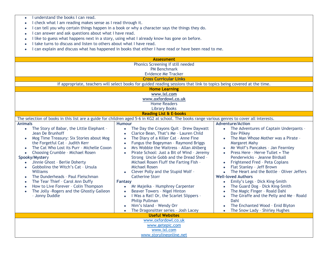| I understand the books I can read.<br>$\bullet$                                                                                                                                                                                                                                                                                                                                                                                                                                                                                   |                                                                                                                                                                                                                                                                                                                                                                                                                                                                                                                                                                                                                                                                                                                                                                                    |                                                                                                                                                                                                                                                                                                                                                                                                                                                                                                                                                                                                                                              |  |  |  |
|-----------------------------------------------------------------------------------------------------------------------------------------------------------------------------------------------------------------------------------------------------------------------------------------------------------------------------------------------------------------------------------------------------------------------------------------------------------------------------------------------------------------------------------|------------------------------------------------------------------------------------------------------------------------------------------------------------------------------------------------------------------------------------------------------------------------------------------------------------------------------------------------------------------------------------------------------------------------------------------------------------------------------------------------------------------------------------------------------------------------------------------------------------------------------------------------------------------------------------------------------------------------------------------------------------------------------------|----------------------------------------------------------------------------------------------------------------------------------------------------------------------------------------------------------------------------------------------------------------------------------------------------------------------------------------------------------------------------------------------------------------------------------------------------------------------------------------------------------------------------------------------------------------------------------------------------------------------------------------------|--|--|--|
|                                                                                                                                                                                                                                                                                                                                                                                                                                                                                                                                   | I check what I am reading makes sense as I read through it.                                                                                                                                                                                                                                                                                                                                                                                                                                                                                                                                                                                                                                                                                                                        |                                                                                                                                                                                                                                                                                                                                                                                                                                                                                                                                                                                                                                              |  |  |  |
|                                                                                                                                                                                                                                                                                                                                                                                                                                                                                                                                   | I can tell you why certain things happen in a book or why a character says the things they do.                                                                                                                                                                                                                                                                                                                                                                                                                                                                                                                                                                                                                                                                                     |                                                                                                                                                                                                                                                                                                                                                                                                                                                                                                                                                                                                                                              |  |  |  |
| I can answer and ask questions about what I have read.                                                                                                                                                                                                                                                                                                                                                                                                                                                                            |                                                                                                                                                                                                                                                                                                                                                                                                                                                                                                                                                                                                                                                                                                                                                                                    |                                                                                                                                                                                                                                                                                                                                                                                                                                                                                                                                                                                                                                              |  |  |  |
|                                                                                                                                                                                                                                                                                                                                                                                                                                                                                                                                   | I like to guess what happens next in a story, using what I already know has gone on before.                                                                                                                                                                                                                                                                                                                                                                                                                                                                                                                                                                                                                                                                                        |                                                                                                                                                                                                                                                                                                                                                                                                                                                                                                                                                                                                                                              |  |  |  |
| I take turns to discuss and listen to others about what I have read.                                                                                                                                                                                                                                                                                                                                                                                                                                                              |                                                                                                                                                                                                                                                                                                                                                                                                                                                                                                                                                                                                                                                                                                                                                                                    |                                                                                                                                                                                                                                                                                                                                                                                                                                                                                                                                                                                                                                              |  |  |  |
| $\bullet$                                                                                                                                                                                                                                                                                                                                                                                                                                                                                                                         | I can explain and discuss what has happened in books that either I have read or have been read to me.                                                                                                                                                                                                                                                                                                                                                                                                                                                                                                                                                                                                                                                                              |                                                                                                                                                                                                                                                                                                                                                                                                                                                                                                                                                                                                                                              |  |  |  |
|                                                                                                                                                                                                                                                                                                                                                                                                                                                                                                                                   |                                                                                                                                                                                                                                                                                                                                                                                                                                                                                                                                                                                                                                                                                                                                                                                    |                                                                                                                                                                                                                                                                                                                                                                                                                                                                                                                                                                                                                                              |  |  |  |
|                                                                                                                                                                                                                                                                                                                                                                                                                                                                                                                                   | <b>Assessment</b>                                                                                                                                                                                                                                                                                                                                                                                                                                                                                                                                                                                                                                                                                                                                                                  |                                                                                                                                                                                                                                                                                                                                                                                                                                                                                                                                                                                                                                              |  |  |  |
|                                                                                                                                                                                                                                                                                                                                                                                                                                                                                                                                   | Phonics Screening if still needed                                                                                                                                                                                                                                                                                                                                                                                                                                                                                                                                                                                                                                                                                                                                                  |                                                                                                                                                                                                                                                                                                                                                                                                                                                                                                                                                                                                                                              |  |  |  |
|                                                                                                                                                                                                                                                                                                                                                                                                                                                                                                                                   | <b>PM Benchmark</b>                                                                                                                                                                                                                                                                                                                                                                                                                                                                                                                                                                                                                                                                                                                                                                |                                                                                                                                                                                                                                                                                                                                                                                                                                                                                                                                                                                                                                              |  |  |  |
|                                                                                                                                                                                                                                                                                                                                                                                                                                                                                                                                   | <b>Evidence Me Tracker</b>                                                                                                                                                                                                                                                                                                                                                                                                                                                                                                                                                                                                                                                                                                                                                         |                                                                                                                                                                                                                                                                                                                                                                                                                                                                                                                                                                                                                                              |  |  |  |
|                                                                                                                                                                                                                                                                                                                                                                                                                                                                                                                                   | <b>Cross Curricular Links</b>                                                                                                                                                                                                                                                                                                                                                                                                                                                                                                                                                                                                                                                                                                                                                      |                                                                                                                                                                                                                                                                                                                                                                                                                                                                                                                                                                                                                                              |  |  |  |
|                                                                                                                                                                                                                                                                                                                                                                                                                                                                                                                                   | If appropriate, teachers will select books for guided reading sessions that link to topics being covered at the time.                                                                                                                                                                                                                                                                                                                                                                                                                                                                                                                                                                                                                                                              |                                                                                                                                                                                                                                                                                                                                                                                                                                                                                                                                                                                                                                              |  |  |  |
|                                                                                                                                                                                                                                                                                                                                                                                                                                                                                                                                   | <b>Home Learning</b>                                                                                                                                                                                                                                                                                                                                                                                                                                                                                                                                                                                                                                                                                                                                                               |                                                                                                                                                                                                                                                                                                                                                                                                                                                                                                                                                                                                                                              |  |  |  |
|                                                                                                                                                                                                                                                                                                                                                                                                                                                                                                                                   | www.ixl.com                                                                                                                                                                                                                                                                                                                                                                                                                                                                                                                                                                                                                                                                                                                                                                        |                                                                                                                                                                                                                                                                                                                                                                                                                                                                                                                                                                                                                                              |  |  |  |
|                                                                                                                                                                                                                                                                                                                                                                                                                                                                                                                                   | www.oxfordowl.co.uk<br><b>Home Readers</b>                                                                                                                                                                                                                                                                                                                                                                                                                                                                                                                                                                                                                                                                                                                                         |                                                                                                                                                                                                                                                                                                                                                                                                                                                                                                                                                                                                                                              |  |  |  |
|                                                                                                                                                                                                                                                                                                                                                                                                                                                                                                                                   | <b>Library Books</b>                                                                                                                                                                                                                                                                                                                                                                                                                                                                                                                                                                                                                                                                                                                                                               |                                                                                                                                                                                                                                                                                                                                                                                                                                                                                                                                                                                                                                              |  |  |  |
|                                                                                                                                                                                                                                                                                                                                                                                                                                                                                                                                   | <b>Reading List &amp; E-books</b>                                                                                                                                                                                                                                                                                                                                                                                                                                                                                                                                                                                                                                                                                                                                                  |                                                                                                                                                                                                                                                                                                                                                                                                                                                                                                                                                                                                                                              |  |  |  |
|                                                                                                                                                                                                                                                                                                                                                                                                                                                                                                                                   | The selection of books in this list are a guide for children aged 5-6 in KG2 at school. The books range various genres to cover all interests.                                                                                                                                                                                                                                                                                                                                                                                                                                                                                                                                                                                                                                     |                                                                                                                                                                                                                                                                                                                                                                                                                                                                                                                                                                                                                                              |  |  |  |
| <b>Animals</b>                                                                                                                                                                                                                                                                                                                                                                                                                                                                                                                    | <b>Humour</b>                                                                                                                                                                                                                                                                                                                                                                                                                                                                                                                                                                                                                                                                                                                                                                      | <b>Adventure/Action</b>                                                                                                                                                                                                                                                                                                                                                                                                                                                                                                                                                                                                                      |  |  |  |
| The Story of Babar, the Little Elephant -<br>$\bullet$<br>Jean De Brunhoff<br>Mog Time Treasury: Six Stories about Mog<br>the Forgetful Cat - Judith Kerr<br>The Cat Who Lost its Purr - Michelle Coxon<br>Choosing Crumble - Michael Rosen<br>Spooky/Mystery<br>Jinnie Ghost - Berlie Doherty<br>Gobbolino the Witch's Cat - Ursula<br>Williams<br>The Dunderheads - Paul Fleischman<br>The Tear Thief - Carol Ann Duffy<br>How to Live Forever - Colin Thompson<br>The Jolly - Rogers and the Ghostly Galleon<br>- Jonny Duddle | The Day the Crayons Quit - Drew Daywatt<br>$\bullet$<br>Clarice Bean, That's Me - Lauren Child<br>$\bullet$<br>The Diary of a Killer Cat - Anne Fine<br>$\bullet$<br>Fungus the Bogeyman - Raymond Briggs<br>$\bullet$<br>Mrs Wobble the Waitress - Allan Ahlberg<br>$\bullet$<br>Pirate School: Just a Bit of Wind - Jeremy<br>Strong Uncle Gobb and the Dread Shed -<br>Michael Rosen Fluff the Farting Fish -<br>Michael Rosen<br>Clever Polly and the Stupid Wolf -<br><b>Catherine Storr</b><br><b>Fantasy</b><br>Mr Majeika - Humphrey Carpenter<br>$\bullet$<br>Beaver Towers - Nigel Hinton<br>$\bullet$<br>I Was a Rat! Or, the Scarlet Slippers -<br>$\bullet$<br><b>Philip Pullman</b><br>Nim's Island - Wendy Orr<br>The Dragonsitter series - Josh Lacey<br>$\bullet$ | The Adventures of Captain Underpants -<br>$\bullet$<br>Dav Pilkey<br>The Man Whose Mother was a Pirate -<br>Margaret Mahy<br>Mr Wolf's Pancakes - Jan Fearnley<br><b>Press Here - Herve Tullet • The</b><br>Penderwicks - Jeanne Birdsall<br>Frightened Fred - Peta Coplans<br>Flat Stanley - Jeff Brown<br>The Heart and the Bottle - Oliver Jeffers<br><b>Well-loved Authors</b><br>Emily's Legs - Dick King-Smith<br>$\bullet$<br>The Guard Dog - Dick King-Smith<br>The Magic Finger - Roald Dahl<br>The Giraffe and the Pelly and Me - Roald<br>$\bullet$<br>Dahl<br>The Enchanted Wood - Enid Blyton<br>The Snow Lady - Shirley Hughes |  |  |  |
|                                                                                                                                                                                                                                                                                                                                                                                                                                                                                                                                   | <b>Useful Websites</b><br>www.oxfordowl.co.uk                                                                                                                                                                                                                                                                                                                                                                                                                                                                                                                                                                                                                                                                                                                                      |                                                                                                                                                                                                                                                                                                                                                                                                                                                                                                                                                                                                                                              |  |  |  |
|                                                                                                                                                                                                                                                                                                                                                                                                                                                                                                                                   | www.getepic.com                                                                                                                                                                                                                                                                                                                                                                                                                                                                                                                                                                                                                                                                                                                                                                    |                                                                                                                                                                                                                                                                                                                                                                                                                                                                                                                                                                                                                                              |  |  |  |
|                                                                                                                                                                                                                                                                                                                                                                                                                                                                                                                                   | www.ixl.com                                                                                                                                                                                                                                                                                                                                                                                                                                                                                                                                                                                                                                                                                                                                                                        |                                                                                                                                                                                                                                                                                                                                                                                                                                                                                                                                                                                                                                              |  |  |  |
|                                                                                                                                                                                                                                                                                                                                                                                                                                                                                                                                   | www.storylineonline.net                                                                                                                                                                                                                                                                                                                                                                                                                                                                                                                                                                                                                                                                                                                                                            |                                                                                                                                                                                                                                                                                                                                                                                                                                                                                                                                                                                                                                              |  |  |  |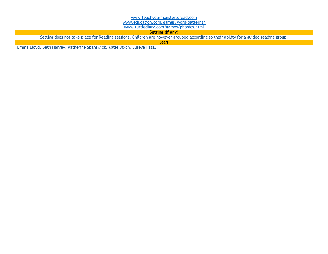| www.teachyourmonstertoread.com                                                                                                        |  |  |  |
|---------------------------------------------------------------------------------------------------------------------------------------|--|--|--|
| www.education.com/games/word-patterns/                                                                                                |  |  |  |
| www.turtlediary.com/games/phonics.html                                                                                                |  |  |  |
| Setting (if any)                                                                                                                      |  |  |  |
| Setting does not take place for Reading sessions. Children are however grouped according to their ability for a guided reading group. |  |  |  |
| <b>Staff</b>                                                                                                                          |  |  |  |
| Emma Lloyd, Beth Harvey, Katherine Spanswick, Katie Dixon, Sureya Fazal                                                               |  |  |  |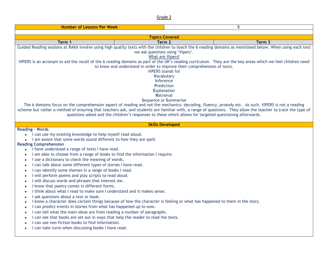| <b>Number of Lessons Per Week</b>                                                                                                                                                                                                                                                                                                                                                                                                                                                                                                                                                                                                                                                                                                                                                                                                                                                                                                                                                                                                                                                                                                                                                            | 5                                                                                                                                                                                                                                                          |                                                                                                                                                                                                                                                                                                                                                                                                                                                                                 |  |  |
|----------------------------------------------------------------------------------------------------------------------------------------------------------------------------------------------------------------------------------------------------------------------------------------------------------------------------------------------------------------------------------------------------------------------------------------------------------------------------------------------------------------------------------------------------------------------------------------------------------------------------------------------------------------------------------------------------------------------------------------------------------------------------------------------------------------------------------------------------------------------------------------------------------------------------------------------------------------------------------------------------------------------------------------------------------------------------------------------------------------------------------------------------------------------------------------------|------------------------------------------------------------------------------------------------------------------------------------------------------------------------------------------------------------------------------------------------------------|---------------------------------------------------------------------------------------------------------------------------------------------------------------------------------------------------------------------------------------------------------------------------------------------------------------------------------------------------------------------------------------------------------------------------------------------------------------------------------|--|--|
|                                                                                                                                                                                                                                                                                                                                                                                                                                                                                                                                                                                                                                                                                                                                                                                                                                                                                                                                                                                                                                                                                                                                                                                              |                                                                                                                                                                                                                                                            |                                                                                                                                                                                                                                                                                                                                                                                                                                                                                 |  |  |
|                                                                                                                                                                                                                                                                                                                                                                                                                                                                                                                                                                                                                                                                                                                                                                                                                                                                                                                                                                                                                                                                                                                                                                                              | <b>Topics Covered</b>                                                                                                                                                                                                                                      |                                                                                                                                                                                                                                                                                                                                                                                                                                                                                 |  |  |
| Term 1                                                                                                                                                                                                                                                                                                                                                                                                                                                                                                                                                                                                                                                                                                                                                                                                                                                                                                                                                                                                                                                                                                                                                                                       | Term 2                                                                                                                                                                                                                                                     | Term 3<br>Guided Reading sessions at RAKA involve using high quality texts with the children to teach the 6 reading domains as mentioned below. When using each text                                                                                                                                                                                                                                                                                                            |  |  |
|                                                                                                                                                                                                                                                                                                                                                                                                                                                                                                                                                                                                                                                                                                                                                                                                                                                                                                                                                                                                                                                                                                                                                                                              | we ask questions using 'Vipers'.<br>What are Vipers?<br>to know and understand in order to improve their comprehension of texts.<br><b>VIPERS</b> stands for<br>Vocabulary<br>Inference<br>Prediction<br>Explanation<br>Retrieval<br>Sequence or Summarise | VIPERS is an acronym to aid the recall of the 6 reading domains as part of the UK's reading curriculum. They are the key areas which we feel children need<br>The 6 domains focus on the comprehension aspect of reading and not the mechanics: decoding, fluency, prosody etc. As such, VIPERS is not a reading<br>scheme but rather a method of ensuring that teachers ask, and students are familiar with, a range of questions. They allow the teacher to track the type of |  |  |
|                                                                                                                                                                                                                                                                                                                                                                                                                                                                                                                                                                                                                                                                                                                                                                                                                                                                                                                                                                                                                                                                                                                                                                                              | questions asked and the children's responses to these which allows for targeted questioning afterwards.<br><b>Skills Developed</b>                                                                                                                         |                                                                                                                                                                                                                                                                                                                                                                                                                                                                                 |  |  |
| <b>Reading - Words</b>                                                                                                                                                                                                                                                                                                                                                                                                                                                                                                                                                                                                                                                                                                                                                                                                                                                                                                                                                                                                                                                                                                                                                                       |                                                                                                                                                                                                                                                            |                                                                                                                                                                                                                                                                                                                                                                                                                                                                                 |  |  |
| • I can use my existing knowledge to help myself read aloud.<br>• I am aware that some words sound different to how they are spelt<br><b>Reading Comprehension</b><br>I have understood a range of texts I have read.<br>I am able to choose from a range of books to find the information I require.<br>I use a dictionary to check the meaning of words.<br>$\bullet$<br>I can talk about some different types of stories I have read.<br>$\bullet$<br>I can identify some themes in a range of books I read.<br>$\bullet$<br>I will perform poems and play scripts to read aloud.<br>I will discuss words and phrases that interest me.<br>I know that poetry comes in different forms.<br>I think about what I read to make sure I understand and it makes sense.<br>I ask questions about a text or book.<br>$\bullet$<br>$\bullet$<br>I can predict events in stories from what has happened up to now.<br>٠<br>I can tell what the main ideas are from reading a number of paragraphs.<br>I can see that books are set out in ways that help the reader to read the texts.<br>I can use non-fiction books to find information.<br>I can take turns when discussing books I have read. | I know a character does certain things because of how the character is feeling or what has happened to them in the story.                                                                                                                                  |                                                                                                                                                                                                                                                                                                                                                                                                                                                                                 |  |  |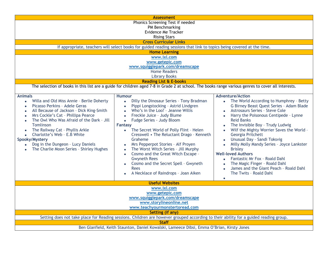|                                                                                                                                                                                                                                                                                                                                                                                                                                                                                       | <b>Assessment</b>                                                                                                                                                                                                                                                                                                                                                                                                                                                                                                                                                                                                                              |                                                                                                                                                                                                                                                                                                                                                                                                                                                                                                                                                                                                                                                                              |
|---------------------------------------------------------------------------------------------------------------------------------------------------------------------------------------------------------------------------------------------------------------------------------------------------------------------------------------------------------------------------------------------------------------------------------------------------------------------------------------|------------------------------------------------------------------------------------------------------------------------------------------------------------------------------------------------------------------------------------------------------------------------------------------------------------------------------------------------------------------------------------------------------------------------------------------------------------------------------------------------------------------------------------------------------------------------------------------------------------------------------------------------|------------------------------------------------------------------------------------------------------------------------------------------------------------------------------------------------------------------------------------------------------------------------------------------------------------------------------------------------------------------------------------------------------------------------------------------------------------------------------------------------------------------------------------------------------------------------------------------------------------------------------------------------------------------------------|
|                                                                                                                                                                                                                                                                                                                                                                                                                                                                                       | Phonics Screening Test if needed                                                                                                                                                                                                                                                                                                                                                                                                                                                                                                                                                                                                               |                                                                                                                                                                                                                                                                                                                                                                                                                                                                                                                                                                                                                                                                              |
|                                                                                                                                                                                                                                                                                                                                                                                                                                                                                       | PM Benchmarking<br>Evidence Me Tracker                                                                                                                                                                                                                                                                                                                                                                                                                                                                                                                                                                                                         |                                                                                                                                                                                                                                                                                                                                                                                                                                                                                                                                                                                                                                                                              |
|                                                                                                                                                                                                                                                                                                                                                                                                                                                                                       |                                                                                                                                                                                                                                                                                                                                                                                                                                                                                                                                                                                                                                                |                                                                                                                                                                                                                                                                                                                                                                                                                                                                                                                                                                                                                                                                              |
|                                                                                                                                                                                                                                                                                                                                                                                                                                                                                       | <b>Rising Stars</b>                                                                                                                                                                                                                                                                                                                                                                                                                                                                                                                                                                                                                            |                                                                                                                                                                                                                                                                                                                                                                                                                                                                                                                                                                                                                                                                              |
|                                                                                                                                                                                                                                                                                                                                                                                                                                                                                       | <b>Cross Curricular Links</b>                                                                                                                                                                                                                                                                                                                                                                                                                                                                                                                                                                                                                  |                                                                                                                                                                                                                                                                                                                                                                                                                                                                                                                                                                                                                                                                              |
|                                                                                                                                                                                                                                                                                                                                                                                                                                                                                       | If appropriate, teachers will select books for guided reading sessions that link to topics being covered at the time.                                                                                                                                                                                                                                                                                                                                                                                                                                                                                                                          |                                                                                                                                                                                                                                                                                                                                                                                                                                                                                                                                                                                                                                                                              |
|                                                                                                                                                                                                                                                                                                                                                                                                                                                                                       | <b>Home Learning</b>                                                                                                                                                                                                                                                                                                                                                                                                                                                                                                                                                                                                                           |                                                                                                                                                                                                                                                                                                                                                                                                                                                                                                                                                                                                                                                                              |
|                                                                                                                                                                                                                                                                                                                                                                                                                                                                                       | www.ixl.com                                                                                                                                                                                                                                                                                                                                                                                                                                                                                                                                                                                                                                    |                                                                                                                                                                                                                                                                                                                                                                                                                                                                                                                                                                                                                                                                              |
|                                                                                                                                                                                                                                                                                                                                                                                                                                                                                       | www.getepic.com                                                                                                                                                                                                                                                                                                                                                                                                                                                                                                                                                                                                                                |                                                                                                                                                                                                                                                                                                                                                                                                                                                                                                                                                                                                                                                                              |
|                                                                                                                                                                                                                                                                                                                                                                                                                                                                                       | www.squigglepark.com/dreamscape                                                                                                                                                                                                                                                                                                                                                                                                                                                                                                                                                                                                                |                                                                                                                                                                                                                                                                                                                                                                                                                                                                                                                                                                                                                                                                              |
|                                                                                                                                                                                                                                                                                                                                                                                                                                                                                       | <b>Home Readers</b>                                                                                                                                                                                                                                                                                                                                                                                                                                                                                                                                                                                                                            |                                                                                                                                                                                                                                                                                                                                                                                                                                                                                                                                                                                                                                                                              |
|                                                                                                                                                                                                                                                                                                                                                                                                                                                                                       | <b>Library Books</b>                                                                                                                                                                                                                                                                                                                                                                                                                                                                                                                                                                                                                           |                                                                                                                                                                                                                                                                                                                                                                                                                                                                                                                                                                                                                                                                              |
|                                                                                                                                                                                                                                                                                                                                                                                                                                                                                       | <b>Reading List &amp; E-books</b>                                                                                                                                                                                                                                                                                                                                                                                                                                                                                                                                                                                                              |                                                                                                                                                                                                                                                                                                                                                                                                                                                                                                                                                                                                                                                                              |
|                                                                                                                                                                                                                                                                                                                                                                                                                                                                                       | The selection of books in this list are a guide for children aged 7-8 in Grade 2 at school. The books range various genres to cover all interests.                                                                                                                                                                                                                                                                                                                                                                                                                                                                                             |                                                                                                                                                                                                                                                                                                                                                                                                                                                                                                                                                                                                                                                                              |
| <b>Animals</b><br>Willa and Old Miss Annie - Berlie Doherty<br>$\bullet$<br>Picasso Perkins - Adele Geras<br>$\bullet$<br>All Because of Jackson - Dick King-Smith<br>Mrs Cockle's Cat - Phillipa Pearce<br>The Owl Who Was Afraid of the Dark - Jill<br>$\bullet$<br><b>Tomlinson</b><br>The Railway Cat - Phyllis Arkle<br>Charlotte's Web - E.B White<br>$\bullet$<br>Spooky/Mystery<br>Dog in the Dungeon - Lucy Daniels<br>$\bullet$<br>The Charlie Moon Series - Shirley Hughes | <b>Humour</b><br>Dilly the Dinosaur Series - Tony Bradman<br>$\bullet$<br>Pippi Longstocking - Astrid Lindgren<br>$\bullet$<br>Who's in the Loo? - Jeanne Willis<br>Freckle Juice - Judy Blume<br>Fudge Series - Judy Bloom<br>$\bullet$<br><b>Fantasy</b><br>The Secret World of Polly Flint - Helen<br>$\bullet$<br>Cresswell • The Reluctant Drago - Kenneth<br>Graheme<br>Mrs Pepperpot Stories - Alf Proyen<br>The Worst Witch Series - Jill Murphy<br>Cosmo and the Great Witch Escape -<br>$\bullet$<br><b>Gwyneth Rees</b><br>Cosmo and the Secret Spell - Gwyneth<br>$\bullet$<br><b>Rees</b><br>A Necklace of Raindrops - Joan Aiken | <b>Adventure/Action</b><br>• The World According to Humphrey - Betty<br>G Birney Beast Quest Series - Adam Blade<br><b>Astrosaurs Series - Steve Cole</b><br>Harry the Poisonous Centipede - Lynne<br>$\bullet$<br><b>Reid Banks</b><br>The Invisible Boy - Trudy Ludwig<br>$\bullet$<br>Wilf the Mighty Worrier Saves the World -<br>Georgia Pritchett<br>Unusual Day - Sandi Toksvig<br>$\bullet$<br>Milly Molly Mandy Series - Joyce Lankster<br><b>Brisley</b><br><b>Well-loved Authors</b><br>Fantastic Mr Fox - Roald Dahl<br>$\bullet$<br>The Magic Finger - Roald Dahl<br>$\bullet$<br>James and the Giant Peach - Roald Dahl<br>$\bullet$<br>The Twits - Roald Dahl |
|                                                                                                                                                                                                                                                                                                                                                                                                                                                                                       |                                                                                                                                                                                                                                                                                                                                                                                                                                                                                                                                                                                                                                                | $\bullet$                                                                                                                                                                                                                                                                                                                                                                                                                                                                                                                                                                                                                                                                    |
|                                                                                                                                                                                                                                                                                                                                                                                                                                                                                       | <b>Useful Websites</b>                                                                                                                                                                                                                                                                                                                                                                                                                                                                                                                                                                                                                         |                                                                                                                                                                                                                                                                                                                                                                                                                                                                                                                                                                                                                                                                              |
|                                                                                                                                                                                                                                                                                                                                                                                                                                                                                       | www.ixl.com                                                                                                                                                                                                                                                                                                                                                                                                                                                                                                                                                                                                                                    |                                                                                                                                                                                                                                                                                                                                                                                                                                                                                                                                                                                                                                                                              |
|                                                                                                                                                                                                                                                                                                                                                                                                                                                                                       | www.getepic.com                                                                                                                                                                                                                                                                                                                                                                                                                                                                                                                                                                                                                                |                                                                                                                                                                                                                                                                                                                                                                                                                                                                                                                                                                                                                                                                              |
|                                                                                                                                                                                                                                                                                                                                                                                                                                                                                       | www.squigglepark.com/dreamscape                                                                                                                                                                                                                                                                                                                                                                                                                                                                                                                                                                                                                |                                                                                                                                                                                                                                                                                                                                                                                                                                                                                                                                                                                                                                                                              |
|                                                                                                                                                                                                                                                                                                                                                                                                                                                                                       | www.storylineonline.net                                                                                                                                                                                                                                                                                                                                                                                                                                                                                                                                                                                                                        |                                                                                                                                                                                                                                                                                                                                                                                                                                                                                                                                                                                                                                                                              |
|                                                                                                                                                                                                                                                                                                                                                                                                                                                                                       | www.teachyourmonstertoread.com                                                                                                                                                                                                                                                                                                                                                                                                                                                                                                                                                                                                                 |                                                                                                                                                                                                                                                                                                                                                                                                                                                                                                                                                                                                                                                                              |
|                                                                                                                                                                                                                                                                                                                                                                                                                                                                                       | <b>Setting (if any)</b>                                                                                                                                                                                                                                                                                                                                                                                                                                                                                                                                                                                                                        |                                                                                                                                                                                                                                                                                                                                                                                                                                                                                                                                                                                                                                                                              |
|                                                                                                                                                                                                                                                                                                                                                                                                                                                                                       | Setting does not take place for Reading sessions. Children are however grouped according to their ability for a guided reading group.                                                                                                                                                                                                                                                                                                                                                                                                                                                                                                          |                                                                                                                                                                                                                                                                                                                                                                                                                                                                                                                                                                                                                                                                              |
|                                                                                                                                                                                                                                                                                                                                                                                                                                                                                       | <b>Staff</b>                                                                                                                                                                                                                                                                                                                                                                                                                                                                                                                                                                                                                                   |                                                                                                                                                                                                                                                                                                                                                                                                                                                                                                                                                                                                                                                                              |
|                                                                                                                                                                                                                                                                                                                                                                                                                                                                                       | Ben Glanfield, Keith Staunton, Daniel Kowalski, Lameece Dibsi, Emma O'Brian, Kirsty Jones                                                                                                                                                                                                                                                                                                                                                                                                                                                                                                                                                      |                                                                                                                                                                                                                                                                                                                                                                                                                                                                                                                                                                                                                                                                              |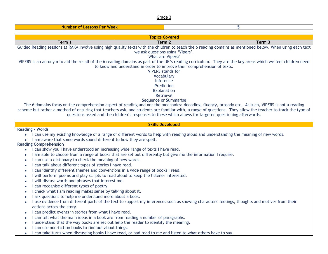| <b>Number of Lessons Per Week</b><br>5                                                                                                                                                                                                                                                                                                                                                                                                                                                                                                                                                                                                                                                                                                                                                                                                                                                                                                                                                                                                                                                                                                                                                                                                                                                         |                                                                                                                                                                                                                                                                                                                                                                       |                                                                                                                                                |  |  |
|------------------------------------------------------------------------------------------------------------------------------------------------------------------------------------------------------------------------------------------------------------------------------------------------------------------------------------------------------------------------------------------------------------------------------------------------------------------------------------------------------------------------------------------------------------------------------------------------------------------------------------------------------------------------------------------------------------------------------------------------------------------------------------------------------------------------------------------------------------------------------------------------------------------------------------------------------------------------------------------------------------------------------------------------------------------------------------------------------------------------------------------------------------------------------------------------------------------------------------------------------------------------------------------------|-----------------------------------------------------------------------------------------------------------------------------------------------------------------------------------------------------------------------------------------------------------------------------------------------------------------------------------------------------------------------|------------------------------------------------------------------------------------------------------------------------------------------------|--|--|
|                                                                                                                                                                                                                                                                                                                                                                                                                                                                                                                                                                                                                                                                                                                                                                                                                                                                                                                                                                                                                                                                                                                                                                                                                                                                                                |                                                                                                                                                                                                                                                                                                                                                                       |                                                                                                                                                |  |  |
| <b>Topics Covered</b>                                                                                                                                                                                                                                                                                                                                                                                                                                                                                                                                                                                                                                                                                                                                                                                                                                                                                                                                                                                                                                                                                                                                                                                                                                                                          |                                                                                                                                                                                                                                                                                                                                                                       |                                                                                                                                                |  |  |
| Term 1                                                                                                                                                                                                                                                                                                                                                                                                                                                                                                                                                                                                                                                                                                                                                                                                                                                                                                                                                                                                                                                                                                                                                                                                                                                                                         | Term 2                                                                                                                                                                                                                                                                                                                                                                | Term 3                                                                                                                                         |  |  |
| Guided Reading sessions at RAKA involve using high quality texts with the children to teach the 6 reading domains as mentioned below. When using each text<br>we ask questions using 'Vipers'.<br>What are Vipers?<br>VIPERS is an acronym to aid the recall of the 6 reading domains as part of the UK's reading curriculum. They are the key areas which we feel children need<br>to know and understand in order to improve their comprehension of texts.<br><b>VIPERS</b> stands for<br>Vocabulary<br>Inference<br>Prediction<br><b>Explanation</b><br><b>Retrieval</b><br>Sequence or Summarise<br>The 6 domains focus on the comprehension aspect of reading and not the mechanics: decoding, fluency, prosody etc. As such, VIPERS is not a reading<br>scheme but rather a method of ensuring that teachers ask, and students are familiar with, a range of questions. They allow the teacher to track the type of                                                                                                                                                                                                                                                                                                                                                                      |                                                                                                                                                                                                                                                                                                                                                                       |                                                                                                                                                |  |  |
|                                                                                                                                                                                                                                                                                                                                                                                                                                                                                                                                                                                                                                                                                                                                                                                                                                                                                                                                                                                                                                                                                                                                                                                                                                                                                                | questions asked and the children's responses to these which allows for targeted questioning afterwards.<br><b>Skills Developed</b>                                                                                                                                                                                                                                    |                                                                                                                                                |  |  |
| <b>Reading - Words</b><br>$\bullet$<br>I am aware that some words sound different to how they are spelt.<br><b>Reading Comprehension</b><br>I can show you I have understood an increasing wide range of texts I have read.<br>$\bullet$<br>$\bullet$<br>I can use a dictionary to check the meaning of new words.<br>$\bullet$<br>I can talk about different types of stories I have read.<br>$\bullet$<br>I can identify different themes and conventions in a wide range of books I read.<br>$\bullet$<br>I will perform poems and play scripts to read aloud to keep the listener interested.<br>$\bullet$<br>I will discuss words and phrases that interest me.<br>$\bullet$<br>I can recognise different types of poetry.<br>$\bullet$<br>I check what I am reading makes sense by talking about it.<br>$\bullet$<br>I ask questions to help me understand more about a book.<br>$\bullet$<br>$\bullet$<br>actions across the story.<br>I can predict events in stories from what I have read.<br>$\bullet$<br>I can tell what the main ideas in a book are from reading a number of paragraphs.<br>$\bullet$<br>I understand that the way books are set out help the reader to identify the meaning.<br>$\bullet$<br>I can use non-fiction books to find out about things.<br>$\bullet$ | I can use my existing knowledge of a range of different words to help with reading aloud and understanding the meaning of new words.<br>I am able to choose from a range of books that are set out differently but give me the information I require.<br>I can take turns when discussing books I have read, or had read to me and listen to what others have to say. | I use evidence from different parts of the text to support my inferences such as showing characters' feelings, thoughts and motives from their |  |  |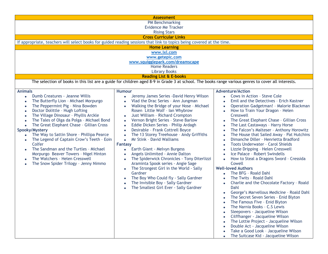|                                                        | <b>Assessment</b>                                                                                                                                  |                                                        |  |  |
|--------------------------------------------------------|----------------------------------------------------------------------------------------------------------------------------------------------------|--------------------------------------------------------|--|--|
|                                                        | PM Benchmarking                                                                                                                                    |                                                        |  |  |
| <b>Evidence Me Tracker</b>                             |                                                                                                                                                    |                                                        |  |  |
| <b>Rising Stars</b>                                    |                                                                                                                                                    |                                                        |  |  |
|                                                        | <b>Cross Curricular Links</b>                                                                                                                      |                                                        |  |  |
|                                                        | If appropriate, teachers will select books for guided reading sessions that link to topics being covered at the time.                              |                                                        |  |  |
|                                                        | <b>Home Learning</b>                                                                                                                               |                                                        |  |  |
|                                                        | www.ixl.com                                                                                                                                        |                                                        |  |  |
|                                                        | www.getepic.com                                                                                                                                    |                                                        |  |  |
|                                                        | www.squigglepark.com/dreamscape                                                                                                                    |                                                        |  |  |
|                                                        | <b>Home Readers</b>                                                                                                                                |                                                        |  |  |
|                                                        | <b>Library Books</b>                                                                                                                               |                                                        |  |  |
|                                                        | <b>Reading List &amp; E-books</b>                                                                                                                  |                                                        |  |  |
|                                                        | The selection of books in this list are a guide for children aged 8-9 in Grade 3 at school. The books range various genres to cover all interests. |                                                        |  |  |
|                                                        |                                                                                                                                                    |                                                        |  |  |
| <b>Animals</b>                                         | <b>Humour</b>                                                                                                                                      | <b>Adventure/Action</b>                                |  |  |
| Dumb Creatures - Jeanne Willis<br>$\bullet$            | Jeremy James Series - David Henry Wilson<br>$\bullet$                                                                                              | Cows in Action - Steve Cole                            |  |  |
| The Butterfly Lion - Michael Morpurgo                  | Vlad the Drac Series - Ann Jungman<br>$\bullet$                                                                                                    | Emil and the Detectives - Erich Kastner                |  |  |
| The Peppermint Pig - Nina Bowden                       | Walking the Bridge of your Nose - Michael<br>$\bullet$                                                                                             | Operation Gadgetman! - Malorie Blackman                |  |  |
| Doctor Dolittle - Hugh Lofting<br>$\bullet$            | Rosen Little Wolf - Ian Whybrow                                                                                                                    | How to Train Your Dragon - Helen                       |  |  |
| The Village Dinosaur - Phyllis Arckle<br>$\bullet$     | Just William - Richard Crompton<br>$\bullet$                                                                                                       | Cresswell                                              |  |  |
| The Tales of Olga da Polga - Michael Bond              | Vernon Bright Series - Steve Barlow<br>$\bullet$                                                                                                   | The Great Elephant Chase - Gillian Cross               |  |  |
| The Great Elephant Chase - Gillian Cross<br>$\bullet$  | Eddie Dicken Series - Philip Ardagh<br>$\bullet$                                                                                                   | The Last Castaways - Harry Horse<br>$\bullet$          |  |  |
| Spooky/Mystery                                         | Desirable - Frank Cottrell Boyce<br>$\bullet$                                                                                                      | The Falcon's Malteser - Anthony Horowitz<br>$\bullet$  |  |  |
| The Way to Sattin Shore - Phillipa Pearce<br>$\bullet$ | The 13 Storey Treehouse - Andy Griffiths<br>$\bullet$                                                                                              | The House that Sailed Away - Pat Hutchins<br>$\bullet$ |  |  |
| The Legend of Captain Crow's Teeth - Eoin              | <b>Mr Stink - David Walliams</b><br>$\bullet$                                                                                                      | Dimanche Diller - Henrietta Bradford<br>$\bullet$      |  |  |
| Colfer                                                 | <b>Fantasy</b>                                                                                                                                     | Toots Underwater - Carol Shields<br>$\bullet$          |  |  |
| The Sandman and the Turtles - Michael<br>$\bullet$     | Earth Giant - Melvyn Burgess<br>$\bullet$                                                                                                          | Lizzie Dripping - Helen Cresswell<br>$\bullet$         |  |  |
| Morpurgo Beaver Towers - Nigel Hinton                  | Angels Unlimited - Annie Dalton<br>$\bullet$                                                                                                       | Ice Palace - Robert Swindells<br>$\bullet$             |  |  |
| The Watchers - Helen Cresswell<br>$\bullet$            | The Spiderwick Chronicles - Tony Diterlizzi<br>$\bullet$                                                                                           | How to Steal a Dragons Sword - Cressida<br>$\bullet$   |  |  |
| The Snow Spider Trilogy - Jenny Nimmo                  | Araminta Spook series - Angie Sage                                                                                                                 | Cowell                                                 |  |  |
|                                                        | The Strongest Girl in the World - Sally<br>$\bullet$                                                                                               | <b>Well-loved Authors</b>                              |  |  |
|                                                        | Gardner                                                                                                                                            | The BFG - Roald Dahl                                   |  |  |
|                                                        | The Boy Who Could fly - Sally Gardner<br>$\bullet$                                                                                                 | The Twits - Roald Dahl                                 |  |  |
|                                                        | The Invisible Boy - Sally Gardner<br>$\bullet$                                                                                                     | Charlie and the Chocolate Factory - Roald              |  |  |
|                                                        | The Smallest Girl Ever - Sally Gardner                                                                                                             | Dahl                                                   |  |  |
|                                                        |                                                                                                                                                    | George's Marvellous Medicine - Roald Dahl              |  |  |
|                                                        |                                                                                                                                                    | The Secret Seven Series - Enid Blyton<br>$\bullet$     |  |  |
|                                                        |                                                                                                                                                    | The Famous Five - Enid Blyton                          |  |  |
|                                                        |                                                                                                                                                    | The Narnia Books - C.S Lewis                           |  |  |
|                                                        |                                                                                                                                                    | Sleepovers - Jacqueline Wilson                         |  |  |
|                                                        |                                                                                                                                                    | Cilffhanger - Jacqueline Wilson                        |  |  |
|                                                        |                                                                                                                                                    | The Lottie Project - Jacqueline Wilson                 |  |  |
|                                                        |                                                                                                                                                    | Double Act - Jacqueline Wilson                         |  |  |
|                                                        |                                                                                                                                                    | Take a Good Look - Jacqueline Wilson                   |  |  |
|                                                        |                                                                                                                                                    | The Suitcase Kid - Jacqueline Wilson<br>$\bullet$      |  |  |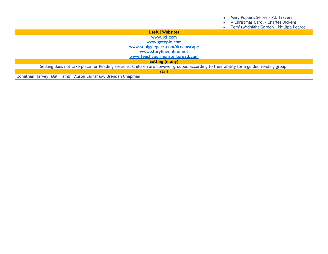|                                                               |                                 | Mary Poppins Series - P.L Travers<br>$\bullet$<br>A Christmas Carol - Charles Dickens<br>Tom's Midnight Garden - Phillipa Pearce<br>$\bullet$ |
|---------------------------------------------------------------|---------------------------------|-----------------------------------------------------------------------------------------------------------------------------------------------|
|                                                               | <b>Useful Websites</b>          |                                                                                                                                               |
|                                                               | www.ixl.com                     |                                                                                                                                               |
|                                                               | www.getepic.com                 |                                                                                                                                               |
|                                                               | www.squigglepark.com/dreamscape |                                                                                                                                               |
|                                                               | www.storylineonline.net         |                                                                                                                                               |
|                                                               | www.teachyourmonstertoread.com  |                                                                                                                                               |
|                                                               | Setting (if any)                |                                                                                                                                               |
|                                                               |                                 | Setting does not take place for Reading sessions. Children are however grouped according to their ability for a guided reading group.         |
|                                                               | <b>Staff</b>                    |                                                                                                                                               |
| Jonathan Harvey, Mali Tambi, Alison Earnshaw, Brendan Chapman |                                 |                                                                                                                                               |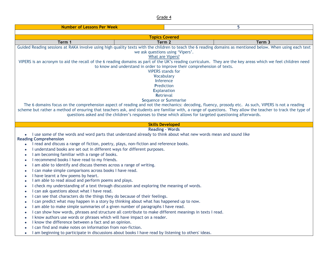| 5<br><b>Number of Lessons Per Week</b>                                                                                                                                                                                                                                                                                                                                                                                                                                                                                                                                                                                                                                                                                                                                                                                                                                                                                                                                                                       |                                                                                                                                                                                                                                                                                                                                                                                                                                                                                                                                                                                                                                                                                                     |                                                                                                                                                            |  |  |
|--------------------------------------------------------------------------------------------------------------------------------------------------------------------------------------------------------------------------------------------------------------------------------------------------------------------------------------------------------------------------------------------------------------------------------------------------------------------------------------------------------------------------------------------------------------------------------------------------------------------------------------------------------------------------------------------------------------------------------------------------------------------------------------------------------------------------------------------------------------------------------------------------------------------------------------------------------------------------------------------------------------|-----------------------------------------------------------------------------------------------------------------------------------------------------------------------------------------------------------------------------------------------------------------------------------------------------------------------------------------------------------------------------------------------------------------------------------------------------------------------------------------------------------------------------------------------------------------------------------------------------------------------------------------------------------------------------------------------------|------------------------------------------------------------------------------------------------------------------------------------------------------------|--|--|
|                                                                                                                                                                                                                                                                                                                                                                                                                                                                                                                                                                                                                                                                                                                                                                                                                                                                                                                                                                                                              |                                                                                                                                                                                                                                                                                                                                                                                                                                                                                                                                                                                                                                                                                                     |                                                                                                                                                            |  |  |
| <b>Topics Covered</b>                                                                                                                                                                                                                                                                                                                                                                                                                                                                                                                                                                                                                                                                                                                                                                                                                                                                                                                                                                                        |                                                                                                                                                                                                                                                                                                                                                                                                                                                                                                                                                                                                                                                                                                     |                                                                                                                                                            |  |  |
| Term 2<br>Term 1<br>Term 3                                                                                                                                                                                                                                                                                                                                                                                                                                                                                                                                                                                                                                                                                                                                                                                                                                                                                                                                                                                   |                                                                                                                                                                                                                                                                                                                                                                                                                                                                                                                                                                                                                                                                                                     |                                                                                                                                                            |  |  |
|                                                                                                                                                                                                                                                                                                                                                                                                                                                                                                                                                                                                                                                                                                                                                                                                                                                                                                                                                                                                              | we ask questions using 'Vipers'.<br>What are Vipers?                                                                                                                                                                                                                                                                                                                                                                                                                                                                                                                                                                                                                                                | Guided Reading sessions at RAKA involve using high quality texts with the children to teach the 6 reading domains as mentioned below. When using each text |  |  |
|                                                                                                                                                                                                                                                                                                                                                                                                                                                                                                                                                                                                                                                                                                                                                                                                                                                                                                                                                                                                              | VIPERS is an acronym to aid the recall of the 6 reading domains as part of the UK's reading curriculum. They are the key areas which we feel children need<br>to know and understand in order to improve their comprehension of texts.<br><b>VIPERS</b> stands for<br>Vocabulary<br>Inference<br>Prediction<br><b>Explanation</b><br>Retrieval<br><b>Sequence or Summarise</b><br>The 6 domains focus on the comprehension aspect of reading and not the mechanics: decoding, fluency, prosody etc. As such, VIPERS is not a reading<br>scheme but rather a method of ensuring that teachers ask, and students are familiar with, a range of questions. They allow the teacher to track the type of |                                                                                                                                                            |  |  |
|                                                                                                                                                                                                                                                                                                                                                                                                                                                                                                                                                                                                                                                                                                                                                                                                                                                                                                                                                                                                              | questions asked and the children's responses to these which allows for targeted questioning afterwards.                                                                                                                                                                                                                                                                                                                                                                                                                                                                                                                                                                                             |                                                                                                                                                            |  |  |
|                                                                                                                                                                                                                                                                                                                                                                                                                                                                                                                                                                                                                                                                                                                                                                                                                                                                                                                                                                                                              | <b>Skills Developed</b><br><b>Reading - Words</b>                                                                                                                                                                                                                                                                                                                                                                                                                                                                                                                                                                                                                                                   |                                                                                                                                                            |  |  |
| <b>Reading Comprehension</b><br>I read and discuss a range of fiction, poetry, plays, non-fiction and reference books.<br>$\bullet$<br>I understand books are set out in different ways for different purposes.<br>$\bullet$<br>I am becoming familiar with a range of books.<br>$\bullet$<br>I recommend books I have read to my friends.<br>$\bullet$<br>I am able to identify and discuss themes across a range of writing.<br>$\bullet$<br>I can make simple comparisons across books I have read.<br>$\bullet$<br>I have learnt a few poems by heart.<br>I am able to read aloud and perform poems and plays.<br>$\bullet$<br>I can ask questions about what I have read.<br>$\bullet$<br>I can see that characters do the things they do because of their feelings.<br>I am able to make simple summaries of a given number of paragraphs I have read.<br>$\bullet$<br>I know authors use words or phrases which will have impact on a reader.<br>I know the difference between a fact and an opinion. | I use some of the words and word parts that understand already to think about what new words mean and sound like<br>I check my understanding of a text through discussion and exploring the meaning of words.<br>I can predict what may happen in a story by thinking about what has happened up to now.<br>I can show how words, phrases and structure all contribute to make different meanings in texts I read.                                                                                                                                                                                                                                                                                  |                                                                                                                                                            |  |  |
| I can find and make notes on information from non-fiction.                                                                                                                                                                                                                                                                                                                                                                                                                                                                                                                                                                                                                                                                                                                                                                                                                                                                                                                                                   | I am beginning to participate in discussions about books I have read by listening to others' ideas.                                                                                                                                                                                                                                                                                                                                                                                                                                                                                                                                                                                                 |                                                                                                                                                            |  |  |
| $\bullet$                                                                                                                                                                                                                                                                                                                                                                                                                                                                                                                                                                                                                                                                                                                                                                                                                                                                                                                                                                                                    |                                                                                                                                                                                                                                                                                                                                                                                                                                                                                                                                                                                                                                                                                                     |                                                                                                                                                            |  |  |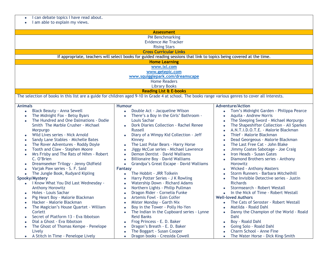|  |  | I can debate topics I have read about. |  |  |  |  |
|--|--|----------------------------------------|--|--|--|--|
|--|--|----------------------------------------|--|--|--|--|

• I am able to explain my views.

| <b>Assessment</b>                                                |                                                                                                                                                     |                                                        |  |  |
|------------------------------------------------------------------|-----------------------------------------------------------------------------------------------------------------------------------------------------|--------------------------------------------------------|--|--|
| <b>PM Benchmarking</b>                                           |                                                                                                                                                     |                                                        |  |  |
|                                                                  | <b>Evidence Me Tracker</b>                                                                                                                          |                                                        |  |  |
|                                                                  | <b>Rising Stars</b>                                                                                                                                 |                                                        |  |  |
|                                                                  | <b>Cross Curricular Links</b>                                                                                                                       |                                                        |  |  |
|                                                                  | If appropriate, teachers will select books for guided reading sessions that link to topics being covered at the time.                               |                                                        |  |  |
|                                                                  | <b>Home Learning</b>                                                                                                                                |                                                        |  |  |
|                                                                  | www.ixl.com                                                                                                                                         |                                                        |  |  |
|                                                                  | www.getepic.com                                                                                                                                     |                                                        |  |  |
|                                                                  | www.squigglepark.com/dreamscape                                                                                                                     |                                                        |  |  |
|                                                                  | <b>Home Readers</b>                                                                                                                                 |                                                        |  |  |
|                                                                  | <b>Library Books</b>                                                                                                                                |                                                        |  |  |
|                                                                  | <b>Reading List &amp; E-books</b>                                                                                                                   |                                                        |  |  |
|                                                                  | The selection of books in this list are a guide for children aged 9-10 in Grade 4 at school. The books range various genres to cover all interests. |                                                        |  |  |
|                                                                  |                                                                                                                                                     | <b>Adventure/Action</b>                                |  |  |
| <b>Animals</b><br><b>Black Beauty - Anna Sewell</b><br>$\bullet$ | <b>Humour</b><br>Double Act - Jacqueline Wilson<br>$\bullet$                                                                                        | Tom's Midnight Garden - Philippa Pearce<br>$\bullet$   |  |  |
| The Midnight Fox - Betsy Byars<br>$\bullet$                      | There's a Boy in the Girls' Bathroom -<br>$\bullet$                                                                                                 | Aquila - Andrew Norris<br>$\bullet$                    |  |  |
| The Hundred and One Dalmations - Dodie<br>$\bullet$              | Louis Sachar                                                                                                                                        | The Sleeping Sword - Michael Morpurgo<br>$\bullet$     |  |  |
| Smith The Marble Crusher - Michael                               | Dork Diaries Collection - Rachel Renee<br>$\bullet$                                                                                                 | The Shapeshifter Collection - Ali Sparkes<br>$\bullet$ |  |  |
| Morpurgo                                                         | Russell                                                                                                                                             | A.N.T.I.D.O.T.E. - Malorie Blackman<br>$\bullet$       |  |  |
| Wild Lives series - Nick Arnold<br>$\bullet$                     | Diary of a Wimpy Kid Collection - Jeff<br>$\bullet$                                                                                                 | Thief - Malorie Blackman<br>$\bullet$                  |  |  |
| Sandy Lane Stables - Michelle Bates<br>$\bullet$                 | Kinney                                                                                                                                              | Dead Georgeous - Malorie Blackman<br>$\bullet$         |  |  |
| The Rover Adventures - Roddy Doyle<br>$\bullet$                  | The Last Polar Bears - Harry Horse<br>$\bullet$                                                                                                     | The Last Free Cat - John Blake<br>$\bullet$            |  |  |
| Tooth and Claw - Stephen Moore<br>$\bullet$                      | Jiggy McCue series - Michael Lawrence<br>$\bullet$                                                                                                  | Jimmy Coates Sabotage - Joe Craig<br>$\bullet$         |  |  |
| Mrs Frisby and The Rats of Nihm - Robert<br>$\bullet$            | Demon Dentist - David Walliams<br>$\bullet$                                                                                                         | Iron Heads - Susan Gates<br>$\bullet$                  |  |  |
| C. O'Brien                                                       | <b>Billionaire Boy - David Walliams</b><br>$\bullet$                                                                                                | Diamond Brothers series - Anthony<br>$\bullet$         |  |  |
| Dreamseeker Trilogy - Jenny Oldfield<br>$\bullet$                | Grandpa's Great Escape - David Walliams<br>$\bullet$                                                                                                | <b>Horowitz</b>                                        |  |  |
| Varjak Paw series - S. F. Said<br>$\bullet$                      | Fantasy                                                                                                                                             | <b>Wicked - Anthony Masters</b><br>$\bullet$           |  |  |
| The Jungle Book, Rudyard Kipling<br>$\bullet$                    | The Hobbit - JRR Tolkein<br>$\bullet$                                                                                                               | Storm Runners - Barbara Mitchelhill<br>$\bullet$       |  |  |
| Spooky/Mystery                                                   | Harry Potter Series - J K Rowling<br>$\bullet$                                                                                                      | The Invisible Detective series - Justin<br>$\bullet$   |  |  |
| I Know What You Did Last Wednesday -<br>$\bullet$                | Watership Down - Richard Adams<br>$\bullet$                                                                                                         | <b>Richards</b>                                        |  |  |
| <b>Anthony Horowitz</b>                                          | Northern Lights - Philip Pullman<br>$\bullet$                                                                                                       | Stormsearch - Robert Westall<br>$\bullet$              |  |  |
| Holes - Louis Sachar<br>$\bullet$                                | Dragon Rider - Cornelia Funke<br>$\bullet$                                                                                                          | In the Nick of Time - Robert Westall<br>$\bullet$      |  |  |
| Pig Heart Boy - Malorie Blackman                                 | Artemis Fowl - Eoin Colfer<br>$\bullet$                                                                                                             | <b>Well-loved Authors</b>                              |  |  |
| Hacker - Malorie Blackman<br>$\bullet$                           | Mister Monday - Garth Nix<br>$\bullet$                                                                                                              | The Cats of Seroster - Robert Westall<br>$\bullet$     |  |  |
| The Magician's House Quartet - William<br>$\bullet$              | Boy in the Tower - Polly Ho-Yen<br>$\bullet$                                                                                                        | Matilda - Roald Dahl<br>$\bullet$                      |  |  |
| Corlett                                                          | The Indian in the Cupboard series - Lynne<br>$\bullet$                                                                                              | Danny the Champion of the World - Roald<br>$\bullet$   |  |  |
| Secret of Platform 13 - Eva Ibbotson                             | <b>Reid Banks</b>                                                                                                                                   | Dahl                                                   |  |  |
| Dial a Ghost - Eva Ibbotson                                      | Frog Princess - E. D. Baker<br>$\bullet$                                                                                                            | Boy - Roald Dahl<br>$\bullet$                          |  |  |
| The Ghost of Thomas Kempe - Penelope<br>$\bullet$                | Dragon's Breath - E. D. Baker<br>$\bullet$                                                                                                          | Going Solo - Roald Dahl<br>$\bullet$                   |  |  |
| Lively                                                           | The Boggart - Susan Cooper<br>$\bullet$                                                                                                             | Charm School - Anne Fine<br>$\bullet$                  |  |  |
| A Stitch in Time - Penelope Lively                               | Dragon books - Cressida Cowell<br>$\bullet$                                                                                                         | The Water Horse - Dick King-Smith<br>$\bullet$         |  |  |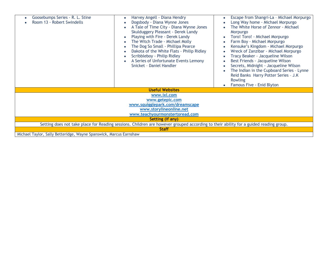| Goosebumps Series - R. L. Stine<br>Room 13 - Robert Swindells                                                                         | Harvey Angell - Diana Hendry<br>Dogsbody - Diana Wynne Jones<br>A Tale of Time City - Diana Wynne Jones<br>$\bullet$<br>Skulduggery Pleasant - Derek Landy<br>Playing with Fire - Derek Landy<br>The Witch Trade - Michael Molly<br>The Dog So Small - Phillipa Pearce<br>Dakota of the White Flats - Philip Ridley<br>$\bullet$<br>Scribbleboy - Philip Ridley<br>$\bullet$<br>A Series of Unfortunate Events Lemony<br>$\bullet$<br>Snicket - Daniel Handler | Escape from Shangri-La - Michael Morpurgo<br>Long Way home - Michael Morpurgo<br>The White Horse of Zennor - Michael<br>Morpurgo<br>Toro! Toro! - Michael Morpurgo<br>Farm Boy - Michael Morpurgo<br>Kensuke's Kingdom - Michael Morpurgo<br>Wreck of Zanzibar - Michael Morpurgo<br>Tracy Beaker - Jacqueline Wilson<br>Best Friends - Jacqueline Wilson<br>Secrets, Midnight - Jacqueline Wilson<br>The Indian in the Cupboard Series - Lynne<br>Reid Banks Harry Potter Series - J.K<br>Rowling<br>Famous Five - Enid Blyton |  |  |
|---------------------------------------------------------------------------------------------------------------------------------------|----------------------------------------------------------------------------------------------------------------------------------------------------------------------------------------------------------------------------------------------------------------------------------------------------------------------------------------------------------------------------------------------------------------------------------------------------------------|---------------------------------------------------------------------------------------------------------------------------------------------------------------------------------------------------------------------------------------------------------------------------------------------------------------------------------------------------------------------------------------------------------------------------------------------------------------------------------------------------------------------------------|--|--|
|                                                                                                                                       | <b>Useful Websites</b>                                                                                                                                                                                                                                                                                                                                                                                                                                         |                                                                                                                                                                                                                                                                                                                                                                                                                                                                                                                                 |  |  |
| www.ixl.com                                                                                                                           |                                                                                                                                                                                                                                                                                                                                                                                                                                                                |                                                                                                                                                                                                                                                                                                                                                                                                                                                                                                                                 |  |  |
| www.getepic.com                                                                                                                       |                                                                                                                                                                                                                                                                                                                                                                                                                                                                |                                                                                                                                                                                                                                                                                                                                                                                                                                                                                                                                 |  |  |
| www.squigglepark.com/dreamscape                                                                                                       |                                                                                                                                                                                                                                                                                                                                                                                                                                                                |                                                                                                                                                                                                                                                                                                                                                                                                                                                                                                                                 |  |  |
| www.storylineonline.net                                                                                                               |                                                                                                                                                                                                                                                                                                                                                                                                                                                                |                                                                                                                                                                                                                                                                                                                                                                                                                                                                                                                                 |  |  |
| www.teachyourmonstertoread.com                                                                                                        |                                                                                                                                                                                                                                                                                                                                                                                                                                                                |                                                                                                                                                                                                                                                                                                                                                                                                                                                                                                                                 |  |  |
| Setting (if any)                                                                                                                      |                                                                                                                                                                                                                                                                                                                                                                                                                                                                |                                                                                                                                                                                                                                                                                                                                                                                                                                                                                                                                 |  |  |
| Setting does not take place for Reading sessions. Children are however grouped according to their ability for a guided reading group. |                                                                                                                                                                                                                                                                                                                                                                                                                                                                |                                                                                                                                                                                                                                                                                                                                                                                                                                                                                                                                 |  |  |
| <b>Staff</b>                                                                                                                          |                                                                                                                                                                                                                                                                                                                                                                                                                                                                |                                                                                                                                                                                                                                                                                                                                                                                                                                                                                                                                 |  |  |
| Michael Taylor, Sally Betteridge, Wayne Spanswick, Marcus Earnshaw                                                                    |                                                                                                                                                                                                                                                                                                                                                                                                                                                                |                                                                                                                                                                                                                                                                                                                                                                                                                                                                                                                                 |  |  |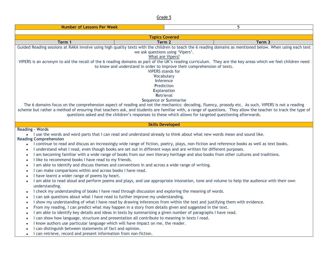| <b>Number of Lessons Per Week</b>                                                                                                                                                                                                                                                                                                                                                                                                                                                                                                                                                                                                                                                                                                                                                                                                                                                                                                                                                                                                                                                                                                                                                                                                                                                                                                                                                                                                                                                                                                                                                                                                                                                                                                                                                                                                                                                                                                                                        |                       | 5      |  |  |
|--------------------------------------------------------------------------------------------------------------------------------------------------------------------------------------------------------------------------------------------------------------------------------------------------------------------------------------------------------------------------------------------------------------------------------------------------------------------------------------------------------------------------------------------------------------------------------------------------------------------------------------------------------------------------------------------------------------------------------------------------------------------------------------------------------------------------------------------------------------------------------------------------------------------------------------------------------------------------------------------------------------------------------------------------------------------------------------------------------------------------------------------------------------------------------------------------------------------------------------------------------------------------------------------------------------------------------------------------------------------------------------------------------------------------------------------------------------------------------------------------------------------------------------------------------------------------------------------------------------------------------------------------------------------------------------------------------------------------------------------------------------------------------------------------------------------------------------------------------------------------------------------------------------------------------------------------------------------------|-----------------------|--------|--|--|
|                                                                                                                                                                                                                                                                                                                                                                                                                                                                                                                                                                                                                                                                                                                                                                                                                                                                                                                                                                                                                                                                                                                                                                                                                                                                                                                                                                                                                                                                                                                                                                                                                                                                                                                                                                                                                                                                                                                                                                          |                       |        |  |  |
|                                                                                                                                                                                                                                                                                                                                                                                                                                                                                                                                                                                                                                                                                                                                                                                                                                                                                                                                                                                                                                                                                                                                                                                                                                                                                                                                                                                                                                                                                                                                                                                                                                                                                                                                                                                                                                                                                                                                                                          | <b>Topics Covered</b> |        |  |  |
| Term 1                                                                                                                                                                                                                                                                                                                                                                                                                                                                                                                                                                                                                                                                                                                                                                                                                                                                                                                                                                                                                                                                                                                                                                                                                                                                                                                                                                                                                                                                                                                                                                                                                                                                                                                                                                                                                                                                                                                                                                   | Term 2                | Term 3 |  |  |
| Guided Reading sessions at RAKA involve using high quality texts with the children to teach the 6 reading domains as mentioned below. When using each text<br>we ask questions using 'Vipers'.<br>What are Vipers?<br>VIPERS is an acronym to aid the recall of the 6 reading domains as part of the UK's reading curriculum. They are the key areas which we feel children need<br>to know and understand in order to improve their comprehension of texts.<br><b>VIPERS</b> stands for<br><b>Vocabulary</b><br>Inference<br>Prediction<br><b>Explanation</b><br>Retrieval<br>Sequence or Summarise<br>The 6 domains focus on the comprehension aspect of reading and not the mechanics: decoding, fluency, prosody etc. As such, VIPERS is not a reading<br>scheme but rather a method of ensuring that teachers ask, and students are familiar with, a range of questions. They allow the teacher to track the type of                                                                                                                                                                                                                                                                                                                                                                                                                                                                                                                                                                                                                                                                                                                                                                                                                                                                                                                                                                                                                                                |                       |        |  |  |
| questions asked and the children's responses to these which allows for targeted questioning afterwards.<br><b>Skills Developed</b>                                                                                                                                                                                                                                                                                                                                                                                                                                                                                                                                                                                                                                                                                                                                                                                                                                                                                                                                                                                                                                                                                                                                                                                                                                                                                                                                                                                                                                                                                                                                                                                                                                                                                                                                                                                                                                       |                       |        |  |  |
| <b>Reading - Words</b><br>. I use the words and word parts that I can read and understand already to think about what new words mean and sound like.<br><b>Reading Comprehension</b><br>I continue to read and discuss an increasingly wide range of fiction, poetry, plays, non-fiction and reference books as well as text books.<br>$\bullet$<br>I understand what I read, even though books are set out in different ways and are written for different purposes.<br>I am becoming familiar with a wide range of books from our own literary heritage and also books from other cultures and traditions.<br>I like to recommend books I have read to my friends.<br>I am able to identify and discuss themes and conventions in and across a wide range of writing.<br>I can make comparisons within and across books I have read.<br>I have learnt a wider range of poems by heart.<br>I am able to read aloud and perform poems and plays, and use appropriate intonation, tone and volume to help the audience with their own<br>understanding.<br>I check my understanding of books I have read through discussion and exploring the meaning of words.<br>$\bullet$<br>I can ask questions about what I have read to further improve my understanding.<br>I show my understanding of what I have read by drawing inferences from within the text and justifying them with evidence.<br>$\bullet$<br>From my reading, I can predict what may happen in a story from details given and suggested in the text.<br>$\bullet$<br>I am able to identify key details and ideas in texts by summarising a given number of paragraphs I have read.<br>I can show how language, structure and presentation all contribute to meaning in texts I read.<br>I know authors use particular language which will have impact on me, the reader.<br>I can distinguish between statements of fact and opinion.<br>I can retrieve, record and present information from non-fiction. |                       |        |  |  |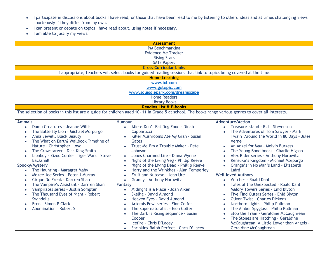- I participate in discussions about books I have read, or those that have been read to me by listening to others' ideas and at times challenging views courteously if they differ from my own.
- I can present or debate on topics I have read about, using notes if necessary.
- I am able to justify my views.

|                                                                                                                                                                                                                                                                                                                                                                                                                                                                                                                                                                                                                                                               | <b>Assessment</b>                                                                                                                                                                                                                                                                                                                                                                                                                                                                                                                                                                                                                                                                                                                                                               |                                                                                                                                                                                                                                                                                                                                                                                                                                                                                                                                                                                                                                                                                                                                                                                                                                                                                                                                                                                                   |  |  |
|---------------------------------------------------------------------------------------------------------------------------------------------------------------------------------------------------------------------------------------------------------------------------------------------------------------------------------------------------------------------------------------------------------------------------------------------------------------------------------------------------------------------------------------------------------------------------------------------------------------------------------------------------------------|---------------------------------------------------------------------------------------------------------------------------------------------------------------------------------------------------------------------------------------------------------------------------------------------------------------------------------------------------------------------------------------------------------------------------------------------------------------------------------------------------------------------------------------------------------------------------------------------------------------------------------------------------------------------------------------------------------------------------------------------------------------------------------|---------------------------------------------------------------------------------------------------------------------------------------------------------------------------------------------------------------------------------------------------------------------------------------------------------------------------------------------------------------------------------------------------------------------------------------------------------------------------------------------------------------------------------------------------------------------------------------------------------------------------------------------------------------------------------------------------------------------------------------------------------------------------------------------------------------------------------------------------------------------------------------------------------------------------------------------------------------------------------------------------|--|--|
| <b>PM Benchmarking</b><br><b>Evidence Me Tracker</b><br><b>Rising Stars</b><br><b>SATs Papers</b>                                                                                                                                                                                                                                                                                                                                                                                                                                                                                                                                                             |                                                                                                                                                                                                                                                                                                                                                                                                                                                                                                                                                                                                                                                                                                                                                                                 |                                                                                                                                                                                                                                                                                                                                                                                                                                                                                                                                                                                                                                                                                                                                                                                                                                                                                                                                                                                                   |  |  |
|                                                                                                                                                                                                                                                                                                                                                                                                                                                                                                                                                                                                                                                               | <b>Cross Curricular Links</b>                                                                                                                                                                                                                                                                                                                                                                                                                                                                                                                                                                                                                                                                                                                                                   |                                                                                                                                                                                                                                                                                                                                                                                                                                                                                                                                                                                                                                                                                                                                                                                                                                                                                                                                                                                                   |  |  |
|                                                                                                                                                                                                                                                                                                                                                                                                                                                                                                                                                                                                                                                               | If appropriate, teachers will select books for guided reading sessions that link to topics being covered at the time.                                                                                                                                                                                                                                                                                                                                                                                                                                                                                                                                                                                                                                                           |                                                                                                                                                                                                                                                                                                                                                                                                                                                                                                                                                                                                                                                                                                                                                                                                                                                                                                                                                                                                   |  |  |
|                                                                                                                                                                                                                                                                                                                                                                                                                                                                                                                                                                                                                                                               | <b>Home Learning</b>                                                                                                                                                                                                                                                                                                                                                                                                                                                                                                                                                                                                                                                                                                                                                            |                                                                                                                                                                                                                                                                                                                                                                                                                                                                                                                                                                                                                                                                                                                                                                                                                                                                                                                                                                                                   |  |  |
|                                                                                                                                                                                                                                                                                                                                                                                                                                                                                                                                                                                                                                                               | www.ixl.com                                                                                                                                                                                                                                                                                                                                                                                                                                                                                                                                                                                                                                                                                                                                                                     |                                                                                                                                                                                                                                                                                                                                                                                                                                                                                                                                                                                                                                                                                                                                                                                                                                                                                                                                                                                                   |  |  |
|                                                                                                                                                                                                                                                                                                                                                                                                                                                                                                                                                                                                                                                               | www.getepic.com                                                                                                                                                                                                                                                                                                                                                                                                                                                                                                                                                                                                                                                                                                                                                                 |                                                                                                                                                                                                                                                                                                                                                                                                                                                                                                                                                                                                                                                                                                                                                                                                                                                                                                                                                                                                   |  |  |
|                                                                                                                                                                                                                                                                                                                                                                                                                                                                                                                                                                                                                                                               | www.squigglepark.com/dreamscape                                                                                                                                                                                                                                                                                                                                                                                                                                                                                                                                                                                                                                                                                                                                                 |                                                                                                                                                                                                                                                                                                                                                                                                                                                                                                                                                                                                                                                                                                                                                                                                                                                                                                                                                                                                   |  |  |
|                                                                                                                                                                                                                                                                                                                                                                                                                                                                                                                                                                                                                                                               | <b>Home Readers</b>                                                                                                                                                                                                                                                                                                                                                                                                                                                                                                                                                                                                                                                                                                                                                             |                                                                                                                                                                                                                                                                                                                                                                                                                                                                                                                                                                                                                                                                                                                                                                                                                                                                                                                                                                                                   |  |  |
|                                                                                                                                                                                                                                                                                                                                                                                                                                                                                                                                                                                                                                                               | <b>Library Books</b>                                                                                                                                                                                                                                                                                                                                                                                                                                                                                                                                                                                                                                                                                                                                                            |                                                                                                                                                                                                                                                                                                                                                                                                                                                                                                                                                                                                                                                                                                                                                                                                                                                                                                                                                                                                   |  |  |
|                                                                                                                                                                                                                                                                                                                                                                                                                                                                                                                                                                                                                                                               | <b>Reading List &amp; E-books</b>                                                                                                                                                                                                                                                                                                                                                                                                                                                                                                                                                                                                                                                                                                                                               |                                                                                                                                                                                                                                                                                                                                                                                                                                                                                                                                                                                                                                                                                                                                                                                                                                                                                                                                                                                                   |  |  |
|                                                                                                                                                                                                                                                                                                                                                                                                                                                                                                                                                                                                                                                               | The selection of books in this list are a guide for children aged 10-11 in Grade 5 at school. The books range various genres to cover all interests.                                                                                                                                                                                                                                                                                                                                                                                                                                                                                                                                                                                                                            |                                                                                                                                                                                                                                                                                                                                                                                                                                                                                                                                                                                                                                                                                                                                                                                                                                                                                                                                                                                                   |  |  |
| <b>Animals</b>                                                                                                                                                                                                                                                                                                                                                                                                                                                                                                                                                                                                                                                | <b>Humour</b>                                                                                                                                                                                                                                                                                                                                                                                                                                                                                                                                                                                                                                                                                                                                                                   | <b>Adventure/Action</b>                                                                                                                                                                                                                                                                                                                                                                                                                                                                                                                                                                                                                                                                                                                                                                                                                                                                                                                                                                           |  |  |
| Dumb Creatures - Jeanne Willis<br>The Butterfly Lion - Michael Morpurgo<br>Anna Sewell, Black Beauty<br>The What on Earth? Wallbook Timeline of<br>Nature - Christopher Lloyd<br>The Crowstarver - Dick King-Smith<br>$\bullet$<br>Lionboy - Zizou Corder Tiger Wars - Steve<br><b>Backshall</b><br>Spooky/Mystery<br>The Haunting - Maragret Mahy<br>Mokee Joe Series - Peter J Murray<br>Cirque Du Freak - Darrren Shan<br>The Vampire's Assistant - Darrren Shan<br>$\bullet$<br>Vampirates series - Justin Sompter<br>$\bullet$<br>The Thousand Eyes of Night - Robert<br>$\bullet$<br><b>Swindells</b><br>Eren - Simon P Clark<br>Abomination - Robert S | Aliens Don't Eat Dog Food - Dinah<br>Capparucci<br>Killer Mushrooms Ate My Gran - Susan<br>Gates<br>Trust Me I'm a Trouble Maker - Pete<br>Johnson<br>Jones Charmed Life - Diana Wynne<br>Night of the Living Veg - Phillip Reeve<br>$\epsilon$<br>Night of the Living Dead - Phillip Reeve<br>$\bullet$<br>Harry and the Wrinklies - Alan Temperley<br>Fruit and Nutcase - Jean Ure<br>Granny - Anthony Horowitz<br>$\bullet$<br>Fantasy<br>Midnight is a Place - Joan Aiken<br>$\bullet$<br>Skellig - David Almond<br>Heaven Eyes - David Almond<br>$\epsilon$<br>Artemis Fowl series - Eion Colfer<br>$\epsilon$<br>The Supernaturalist - Eion Colfer<br>The Dark is Rising sequence - Susan<br>Cooper<br>Icefire - Chris D'Lacey<br>Shrinking Ralph Perfect - Chris D'Lacey | Treasure Island - R. L, Stevenson<br>$\bullet$<br>The Adventures of Tom Sawyer - Mark<br>Twain Around the World in 80 Days - Jules<br>Verne<br>An Angel for May - Melvin Burgess<br>$\bullet$<br>The Young Bond books - Charlie Higson<br>$\bullet$<br>Alex Rider series - Anthony Horowitz<br>$\bullet$<br>Kensuke's Kingdom - Michael Morpurgo<br>$\bullet$<br>Orange's in No Man's Land - Elizabeth<br>$\bullet$<br>Laird<br><b>Well-loved Authors</b><br>Witches - Roald Dahl<br>$\bullet$<br>Tales of the Unexpected - Roald Dahl<br>$\bullet$<br>Malory Towers Series - Enid Blyton<br>Five Find Outers Series - Enid Blyton<br>$\bullet$<br><b>Oliver Twist - Charles Dickens</b><br>$\bullet$<br>Northern Lights - Philip Pullman<br>$\bullet$<br>The Amber Spyglass - Philip Pullman<br>$\bullet$<br>Stop the Train - Geraldine McCaughrean<br>$\bullet$<br>The Stones are Hatching - Geraldine<br>$\bullet$<br>McCaughrean A Little Lower than Angels -<br><b>Geraldine McCaughrean</b> |  |  |